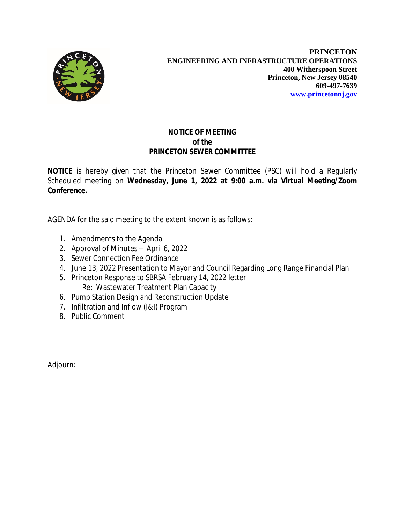

## **NOTICE OF MEETING** *of the* **PRINCETON SEWER COMMITTEE**

**NOTICE** is hereby given that the Princeton Sewer Committee (PSC) will hold a Regularly Scheduled meeting on **Wednesday, June 1, 2022 at 9:00 a.m. via Virtual Meeting/Zoom Conference.**

AGENDA for the said meeting to the extent known is as follows:

- 1. Amendments to the Agenda
- 2. Approval of Minutes April 6, 2022
- 3. Sewer Connection Fee Ordinance
- 4. June 13, 2022 Presentation to Mayor and Council Regarding Long Range Financial Plan
- 5. Princeton Response to SBRSA February 14, 2022 letter Re: Wastewater Treatment Plan Capacity
- 6. Pump Station Design and Reconstruction Update
- 7. Infiltration and Inflow (I&I) Program
- 8. Public Comment

Adjourn: